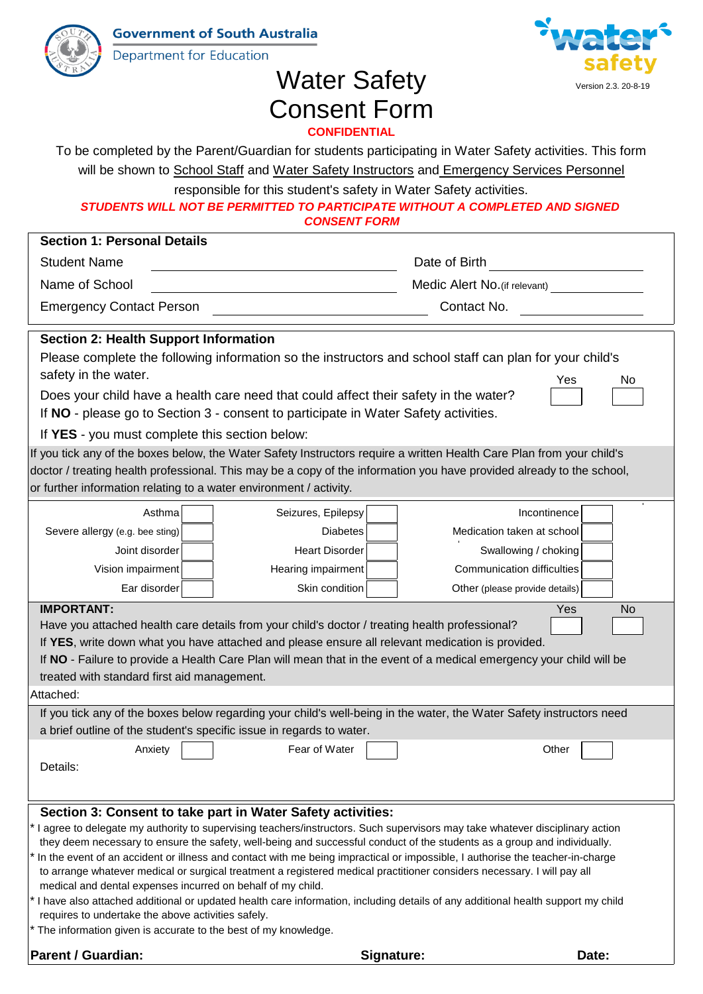**Government of South Australia** 



Department for Education



## Water Safety Consent Form **CONFIDENTIAL**

To be completed by the Parent/Guardian for students participating in Water Safety activities. This form

|                                                                    |                                                                                      | will be shown to School Staff and Water Safety Instructors and Emergency Services Personnel                           |
|--------------------------------------------------------------------|--------------------------------------------------------------------------------------|-----------------------------------------------------------------------------------------------------------------------|
|                                                                    | responsible for this student's safety in Water Safety activities.                    |                                                                                                                       |
|                                                                    |                                                                                      | STUDENTS WILL NOT BE PERMITTED TO PARTICIPATE WITHOUT A COMPLETED AND SIGNED                                          |
|                                                                    | <b>CONSENT FORM</b>                                                                  |                                                                                                                       |
| <b>Section 1: Personal Details</b>                                 |                                                                                      |                                                                                                                       |
| <b>Student Name</b>                                                | Date of Birth                                                                        |                                                                                                                       |
| Name of School                                                     |                                                                                      | Medic Alert No. (if relevant)                                                                                         |
| <b>Emergency Contact Person</b>                                    |                                                                                      | Contact No.                                                                                                           |
| <b>Section 2: Health Support Information</b>                       |                                                                                      |                                                                                                                       |
|                                                                    |                                                                                      | Please complete the following information so the instructors and school staff can plan for your child's               |
| safety in the water.                                               |                                                                                      | Yes<br>No.                                                                                                            |
|                                                                    | Does your child have a health care need that could affect their safety in the water? |                                                                                                                       |
|                                                                    | If NO - please go to Section 3 - consent to participate in Water Safety activities.  |                                                                                                                       |
| If YES - you must complete this section below:                     |                                                                                      |                                                                                                                       |
|                                                                    |                                                                                      | If you tick any of the boxes below, the Water Safety Instructors require a written Health Care Plan from your child's |
|                                                                    |                                                                                      | doctor / treating health professional. This may be a copy of the information you have provided already to the school, |
| or further information relating to a water environment / activity. |                                                                                      |                                                                                                                       |
| Asthma                                                             | Seizures, Epilepsy                                                                   | Incontinence                                                                                                          |
| Severe allergy (e.g. bee sting)                                    | <b>Diabetes</b>                                                                      | Medication taken at school                                                                                            |
| Joint disorder                                                     | <b>Heart Disorder</b>                                                                | Swallowing / choking                                                                                                  |
| Vision impairment                                                  | Hearing impairment                                                                   | Communication difficulties                                                                                            |
| Ear disorder                                                       | Skin condition                                                                       | Other (please provide details)                                                                                        |
| <b>IMPORTANT:</b>                                                  |                                                                                      | Yes<br><b>No</b>                                                                                                      |

Have you attached health care details from your child's doctor / treating health professional? If **YES**, write down what you have attached and please ensure all relevant medication is provided.

If **NO** - Failure to provide a Health Care Plan will mean that in the event of a medical emergency your child will be

treated with standard first aid management.

| Attached: |  |
|-----------|--|
|-----------|--|

Anxiety Fear of Water If you tick any of the boxes below regarding your child's well-being in the water, the Water Safety instructors need a brief outline of the student's specific issue in regards to water.

| Details:                                                    |
|-------------------------------------------------------------|
|                                                             |
|                                                             |
| Section 3: Consent to take part in Water Safety activities: |

I agree to delegate my authority to supervising teachers/instructors. Such supervisors may take whatever disciplinary action they deem necessary to ensure the safety, well-being and successful conduct of the students as a group and individually.

- to arrange whatever medical or surgical treatment a registered medical practitioner considers necessary. I will pay all medical and dental expenses incurred on behalf of my child. In the event of an accident or illness and contact with me being impractical or impossible, I authorise the teacher-in-charge
- requires to undertake the above activities safely. I have also attached additional or updated health care information, including details of any additional health support my child
- The information given is accurate to the best of my knowledge.

**Parent / Guardian:**

**Signature:**

**Other**